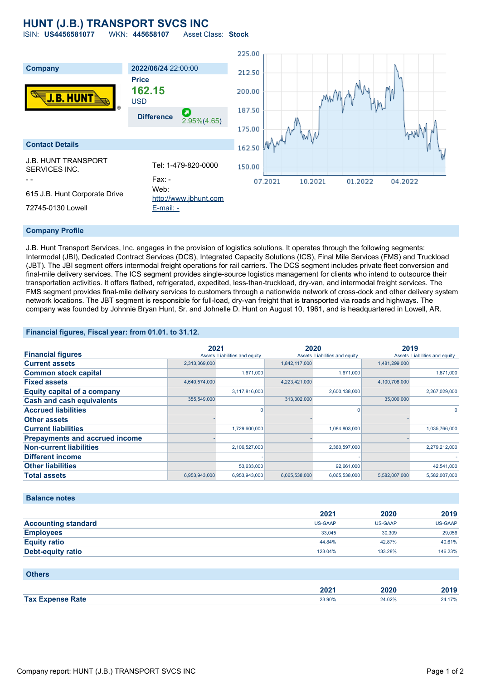## **HUNT (J.B.) TRANSPORT SVCS INC**

ISIN: **US4456581077** WKN: **445658107** Asset Class: **Stock**



### **Company Profile**

J.B. Hunt Transport Services, Inc. engages in the provision of logistics solutions. It operates through the following segments: Intermodal (JBI), Dedicated Contract Services (DCS), Integrated Capacity Solutions (ICS), Final Mile Services (FMS) and Truckload (JBT). The JBI segment offers intermodal freight operations for rail carriers. The DCS segment includes private fleet conversion and final-mile delivery services. The ICS segment provides single-source logistics management for clients who intend to outsource their transportation activities. It offers flatbed, refrigerated, expedited, less-than-truckload, dry-van, and intermodal freight services. The FMS segment provides final-mile delivery services to customers through a nationwide network of cross-dock and other delivery system network locations. The JBT segment is responsible for full-load, dry-van freight that is transported via roads and highways. The company was founded by Johnnie Bryan Hunt, Sr. and Johnelle D. Hunt on August 10, 1961, and is headquartered in Lowell, AR.

### **Financial figures, Fiscal year: from 01.01. to 31.12.**

|                                       | 2021          |                               | 2020          |                               | 2019          |                               |
|---------------------------------------|---------------|-------------------------------|---------------|-------------------------------|---------------|-------------------------------|
| <b>Financial figures</b>              |               | Assets Liabilities and equity |               | Assets Liabilities and equity |               | Assets Liabilities and equity |
| <b>Current assets</b>                 | 2,313,369,000 |                               | 1,842,117,000 |                               | 1,481,299,000 |                               |
| <b>Common stock capital</b>           |               | 1,671,000                     |               | 1,671,000                     |               | 1,671,000                     |
| <b>Fixed assets</b>                   | 4,640,574,000 |                               | 4,223,421,000 |                               | 4,100,708,000 |                               |
| <b>Equity capital of a company</b>    |               | 3,117,816,000                 |               | 2,600,138,000                 |               | 2,267,029,000                 |
| <b>Cash and cash equivalents</b>      | 355,549,000   |                               | 313,302,000   |                               | 35,000,000    |                               |
| <b>Accrued liabilities</b>            |               |                               |               | 0                             |               |                               |
| <b>Other assets</b>                   |               |                               |               |                               |               |                               |
| <b>Current liabilities</b>            |               | 1,729,600,000                 |               | 1,084,803,000                 |               | 1,035,766,000                 |
| <b>Prepayments and accrued income</b> |               |                               |               |                               |               |                               |
| <b>Non-current liabilities</b>        |               | 2,106,527,000                 |               | 2,380,597,000                 |               | 2,279,212,000                 |
| <b>Different income</b>               |               |                               |               |                               |               |                               |
| <b>Other liabilities</b>              |               | 53,633,000                    |               | 92,661,000                    |               | 42,541,000                    |
| <b>Total assets</b>                   | 6,953,943,000 | 6,953,943,000                 | 6,065,538,000 | 6,065,538,000                 | 5,582,007,000 | 5,582,007,000                 |

### **Balance notes**

|                            | 2021    | 2020    | 2019    |
|----------------------------|---------|---------|---------|
| <b>Accounting standard</b> | US-GAAP | US-GAAP | US-GAAP |
| <b>Employees</b>           | 33.045  | 30,309  | 29,056  |
| <b>Equity ratio</b>        | 44.84%  | 42.87%  | 40.61%  |
| <b>Debt-equity ratio</b>   | 123.04% | 133.28% | 146.23% |

| <b>Others</b>           |        |        |        |
|-------------------------|--------|--------|--------|
|                         | 2021   | 2020   | 2019   |
| <b>Tax Expense Rate</b> | 23.90% | 24.02% | 24.17% |